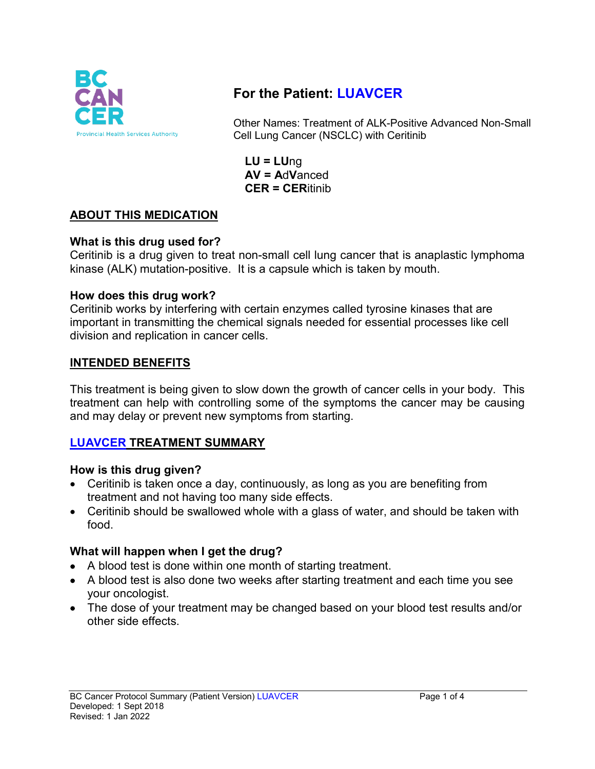

# **For the Patient: LUAVCER**

Other Names: Treatment of ALK-Positive Advanced Non-Small Cell Lung Cancer (NSCLC) with Ceritinib

**LU = LU**ng **AV = A**d**V**anced **CER = CER**itinib

## **ABOUT THIS MEDICATION**

#### **What is this drug used for?**

Ceritinib is a drug given to treat non-small cell lung cancer that is anaplastic lymphoma kinase (ALK) mutation-positive. It is a capsule which is taken by mouth.

## **How does this drug work?**

Ceritinib works by interfering with certain enzymes called tyrosine kinases that are important in transmitting the chemical signals needed for essential processes like cell division and replication in cancer cells.

## **INTENDED BENEFITS**

This treatment is being given to slow down the growth of cancer cells in your body. This treatment can help with controlling some of the symptoms the cancer may be causing and may delay or prevent new symptoms from starting.

## **LUAVCER TREATMENT SUMMARY**

#### **How is this drug given?**

- Ceritinib is taken once a day, continuously, as long as you are benefiting from treatment and not having too many side effects.
- Ceritinib should be swallowed whole with a glass of water, and should be taken with food.

## **What will happen when I get the drug?**

- A blood test is done within one month of starting treatment.
- A blood test is also done two weeks after starting treatment and each time you see your oncologist.
- The dose of your treatment may be changed based on your blood test results and/or other side effects.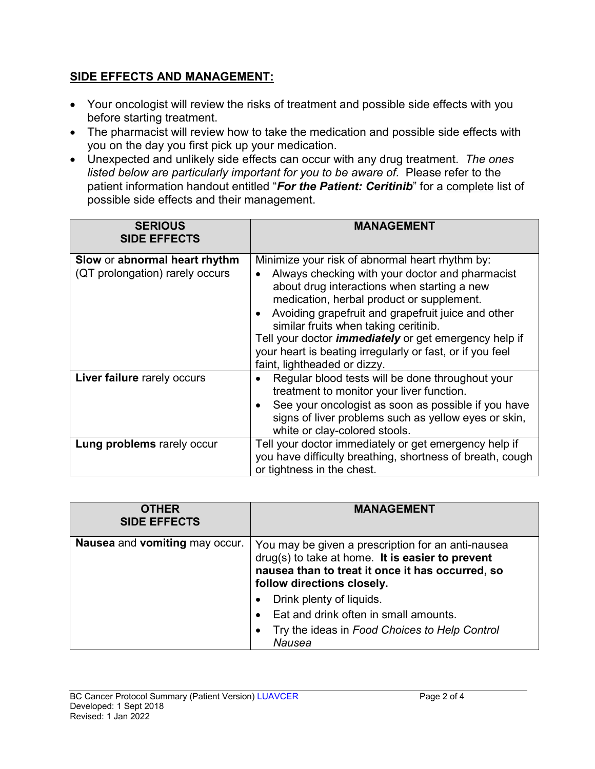## **SIDE EFFECTS AND MANAGEMENT:**

- Your oncologist will review the risks of treatment and possible side effects with you before starting treatment.
- The pharmacist will review how to take the medication and possible side effects with you on the day you first pick up your medication.
- Unexpected and unlikely side effects can occur with any drug treatment. *The ones listed below are particularly important for you to be aware of.* Please refer to the patient information handout entitled "*For the Patient: Ceritinib*" for a complete list of possible side effects and their management.

| <b>SERIOUS</b><br><b>SIDE EFFECTS</b>                            | <b>MANAGEMENT</b>                                                                                                                                                                                                                                                                                                                                                                                                                                          |
|------------------------------------------------------------------|------------------------------------------------------------------------------------------------------------------------------------------------------------------------------------------------------------------------------------------------------------------------------------------------------------------------------------------------------------------------------------------------------------------------------------------------------------|
| Slow or abnormal heart rhythm<br>(QT prolongation) rarely occurs | Minimize your risk of abnormal heart rhythm by:<br>Always checking with your doctor and pharmacist<br>about drug interactions when starting a new<br>medication, herbal product or supplement.<br>Avoiding grapefruit and grapefruit juice and other<br>similar fruits when taking ceritinib.<br>Tell your doctor <i>immediately</i> or get emergency help if<br>your heart is beating irregularly or fast, or if you feel<br>faint, lightheaded or dizzy. |
| Liver failure rarely occurs                                      | Regular blood tests will be done throughout your<br>treatment to monitor your liver function.<br>See your oncologist as soon as possible if you have<br>signs of liver problems such as yellow eyes or skin,<br>white or clay-colored stools.                                                                                                                                                                                                              |
| Lung problems rarely occur                                       | Tell your doctor immediately or get emergency help if<br>you have difficulty breathing, shortness of breath, cough<br>or tightness in the chest.                                                                                                                                                                                                                                                                                                           |

| <b>OTHER</b><br><b>SIDE EFFECTS</b> | <b>MANAGEMENT</b>                                                                                                                                                                        |
|-------------------------------------|------------------------------------------------------------------------------------------------------------------------------------------------------------------------------------------|
| Nausea and vomiting may occur.      | You may be given a prescription for an anti-nausea<br>drug(s) to take at home. It is easier to prevent<br>nausea than to treat it once it has occurred, so<br>follow directions closely. |
|                                     | Drink plenty of liquids.                                                                                                                                                                 |
|                                     | Eat and drink often in small amounts.                                                                                                                                                    |
|                                     | Try the ideas in Food Choices to Help Control<br>Nausea                                                                                                                                  |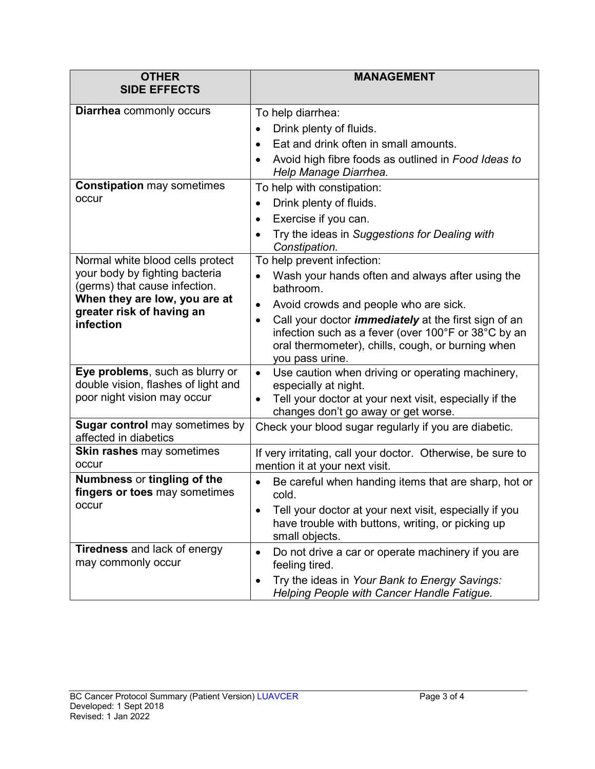| <b>OTHER</b><br><b>SIDE EFFECTS</b>                                          | <b>MANAGEMENT</b>                                                                                                                                                                                       |
|------------------------------------------------------------------------------|---------------------------------------------------------------------------------------------------------------------------------------------------------------------------------------------------------|
|                                                                              |                                                                                                                                                                                                         |
| <b>Diarrhea</b> commonly occurs                                              | To help diarrhea:                                                                                                                                                                                       |
|                                                                              | Drink plenty of fluids.<br>$\bullet$                                                                                                                                                                    |
|                                                                              | Eat and drink often in small amounts.<br>$\bullet$                                                                                                                                                      |
|                                                                              | Avoid high fibre foods as outlined in Food Ideas to<br>Help Manage Diarrhea.                                                                                                                            |
| <b>Constipation may sometimes</b>                                            | To help with constipation:                                                                                                                                                                              |
| occur                                                                        | Drink plenty of fluids.<br>$\bullet$                                                                                                                                                                    |
|                                                                              | Exercise if you can.<br>$\bullet$                                                                                                                                                                       |
|                                                                              | Try the ideas in Suggestions for Dealing with<br>$\bullet$<br>Constipation.                                                                                                                             |
| Normal white blood cells protect                                             | To help prevent infection:                                                                                                                                                                              |
| your body by fighting bacteria<br>(germs) that cause infection.              | Wash your hands often and always after using the<br>$\bullet$<br>bathroom.                                                                                                                              |
| When they are low, you are at                                                | Avoid crowds and people who are sick.<br>$\bullet$                                                                                                                                                      |
| greater risk of having an<br>infection                                       | Call your doctor <i>immediately</i> at the first sign of an<br>$\bullet$<br>infection such as a fever (over 100°F or 38°C by an<br>oral thermometer), chills, cough, or burning when<br>you pass urine. |
| Eye problems, such as blurry or                                              | Use caution when driving or operating machinery,<br>$\bullet$                                                                                                                                           |
| double vision, flashes of light and<br>poor night vision may occur           | especially at night.                                                                                                                                                                                    |
|                                                                              | Tell your doctor at your next visit, especially if the<br>$\bullet$<br>changes don't go away or get worse.                                                                                              |
| <b>Sugar control</b> may sometimes by<br>affected in diabetics               | Check your blood sugar regularly if you are diabetic.                                                                                                                                                   |
| <b>Skin rashes may sometimes</b><br>occur                                    | If very irritating, call your doctor. Otherwise, be sure to<br>mention it at your next visit.                                                                                                           |
| <b>Numbness or tingling of the</b><br>fingers or toes may sometimes<br>occur | Be careful when handing items that are sharp, hot or<br>cold.                                                                                                                                           |
|                                                                              | Tell your doctor at your next visit, especially if you<br>have trouble with buttons, writing, or picking up<br>small objects.                                                                           |
| <b>Tiredness</b> and lack of energy<br>may commonly occur                    | Do not drive a car or operate machinery if you are<br>feeling tired.                                                                                                                                    |
|                                                                              | Try the ideas in Your Bank to Energy Savings:<br>Helping People with Cancer Handle Fatigue.                                                                                                             |